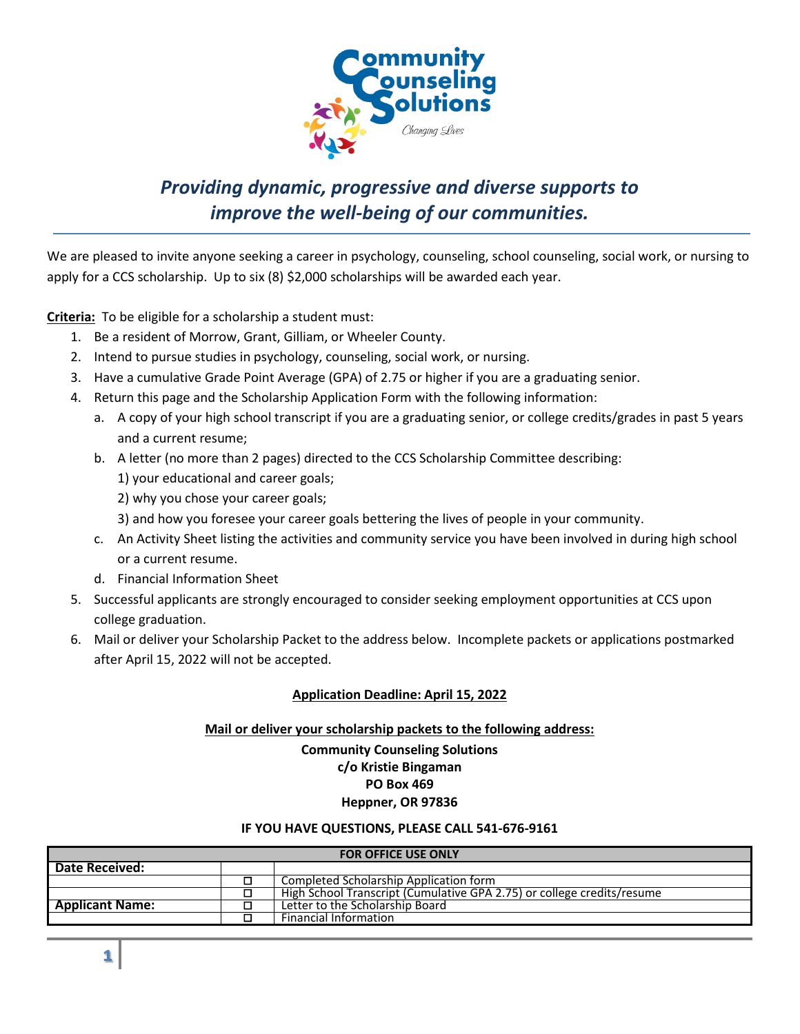

## *Providing dynamic, progressive and diverse supports to improve the well-being of our communities.*

We are pleased to invite anyone seeking a career in psychology, counseling, school counseling, social work, or nursing to apply for a CCS scholarship. Up to six (8) \$2,000 scholarships will be awarded each year.

**Criteria:** To be eligible for a scholarship a student must:

- 1. Be a resident of Morrow, Grant, Gilliam, or Wheeler County.
- 2. Intend to pursue studies in psychology, counseling, social work, or nursing.
- 3. Have a cumulative Grade Point Average (GPA) of 2.75 or higher if you are a graduating senior.
- 4. Return this page and the Scholarship Application Form with the following information:
	- a. A copy of your high school transcript if you are a graduating senior, or college credits/grades in past 5 years and a current resume;
	- b. A letter (no more than 2 pages) directed to the CCS Scholarship Committee describing: 1) your educational and career goals;
		- 2) why you chose your career goals;
		- 3) and how you foresee your career goals bettering the lives of people in your community.
	- c. An Activity Sheet listing the activities and community service you have been involved in during high school or a current resume.
	- d. Financial Information Sheet
- 5. Successful applicants are strongly encouraged to consider seeking employment opportunities at CCS upon college graduation.
- 6. Mail or deliver your Scholarship Packet to the address below. Incomplete packets or applications postmarked after April 15, 2022 will not be accepted.

### **Application Deadline: April 15, 2022**

### **Mail or deliver your scholarship packets to the following address: Community Counseling Solutions c/o Kristie Bingaman PO Box 469 Heppner, OR 97836**

#### **IF YOU HAVE QUESTIONS, PLEASE CALL 541-676-9161**

| <b>FOR OFFICE USE ONLY</b> |  |                                                                        |  |  |
|----------------------------|--|------------------------------------------------------------------------|--|--|
| Date Received:             |  |                                                                        |  |  |
|                            |  | Completed Scholarship Application form                                 |  |  |
|                            |  | High School Transcript (Cumulative GPA 2.75) or college credits/resume |  |  |
| <b>Applicant Name:</b>     |  | Letter to the Scholarship Board                                        |  |  |
|                            |  | <b>Financial Information</b>                                           |  |  |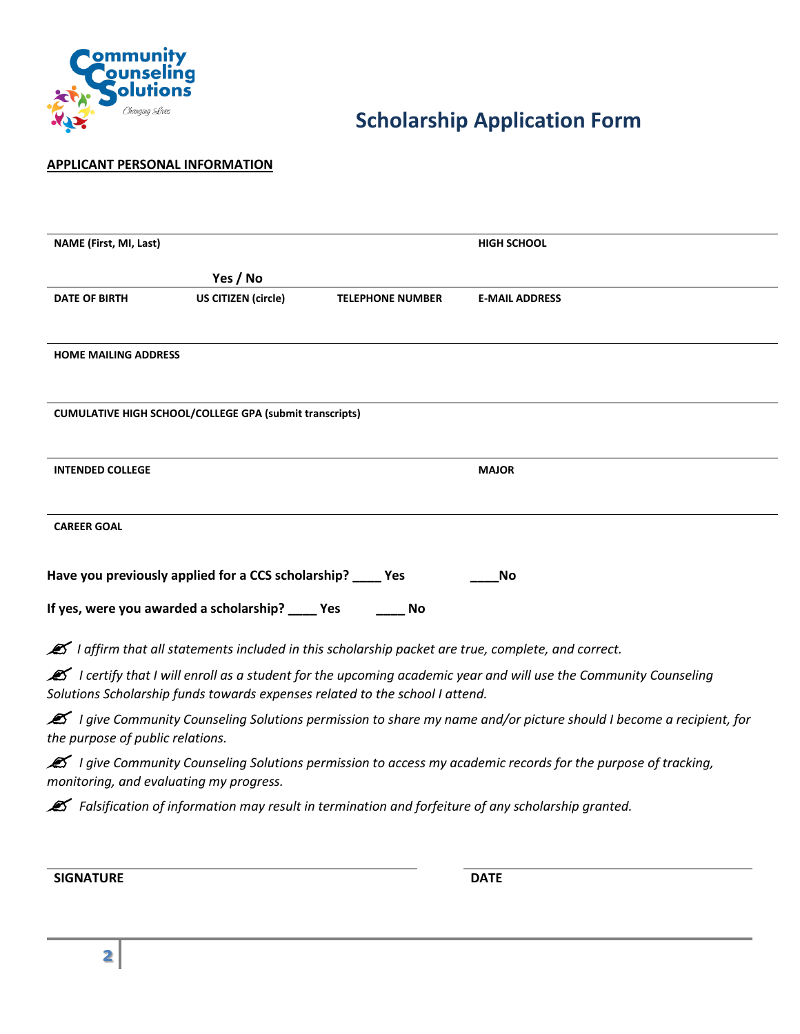

# **Scholarship Application Form**

#### **APPLICANT PERSONAL INFORMATION**

| <b>NAME (First, MI, Last)</b> |                                                                |                                                                              | <b>HIGH SCHOOL</b>                                                                                             |
|-------------------------------|----------------------------------------------------------------|------------------------------------------------------------------------------|----------------------------------------------------------------------------------------------------------------|
|                               | Yes / No                                                       |                                                                              |                                                                                                                |
| <b>DATE OF BIRTH</b>          | <b>US CITIZEN (circle)</b>                                     | <b>TELEPHONE NUMBER</b>                                                      | <b>E-MAIL ADDRESS</b>                                                                                          |
|                               |                                                                |                                                                              |                                                                                                                |
| <b>HOME MAILING ADDRESS</b>   |                                                                |                                                                              |                                                                                                                |
|                               |                                                                |                                                                              |                                                                                                                |
|                               | <b>CUMULATIVE HIGH SCHOOL/COLLEGE GPA (submit transcripts)</b> |                                                                              |                                                                                                                |
|                               |                                                                |                                                                              |                                                                                                                |
| <b>INTENDED COLLEGE</b>       |                                                                |                                                                              | <b>MAJOR</b>                                                                                                   |
|                               |                                                                |                                                                              |                                                                                                                |
| <b>CAREER GOAL</b>            |                                                                |                                                                              |                                                                                                                |
|                               |                                                                |                                                                              |                                                                                                                |
|                               | Have you previously applied for a CCS scholarship? ____ Yes    |                                                                              | No                                                                                                             |
|                               | If yes, were you awarded a scholarship? ____ Yes               | No                                                                           |                                                                                                                |
|                               |                                                                |                                                                              | I affirm that all statements included in this scholarship packet are true, complete, and correct.              |
|                               |                                                                |                                                                              | I certify that I will enroll as a student for the upcoming academic year and will use the Community Counseling |
|                               |                                                                | Solutions Scholarship funds towards expenses related to the school I attend. |                                                                                                                |

*<i>Z I give Community Counseling Solutions permission to share my name and/or picture should I become a recipient, for the purpose of public relations.* 

*I give Community Counseling Solutions permission to access my academic records for the purpose of tracking, monitoring, and evaluating my progress.* 

 *Falsification of information may result in termination and forfeiture of any scholarship granted.* 

**SIGNATURE DATE**